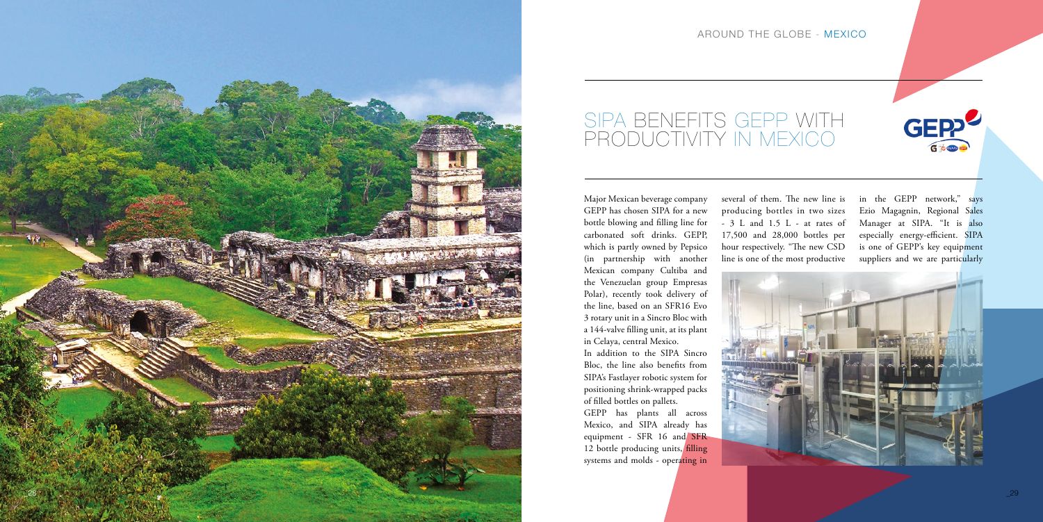



Major Mexican beverage company GEPP has chosen SIPA for a new bottle blowing and filling line for carbonated soft drinks. GEPP, which is partly owned by Pepsico (in partnership with another Mexican company Cultiba and the Venezuelan group Empresas Polar), recently took delivery of the line, based on an SFR16 Evo 3 rotary unit in a Sincro Bloc with a 144-valve filling unit, at its plant in Celaya, central Mexico. In addition to the SIPA Sincro Bloc, the line also benefits from

SIPA's Fastlayer robotic system for positioning shrink-wrapped packs

in the GEPP network," says Ezio Magagnin, Regional Sales Manager at SIPA. "It is also especially energy-efficient. SIPA is one of GEPP's key equipment suppliers and we are particularly



of filled bottles on pallets.

GEPP has plants all across Mexico, and SIPA already has equipment - SFR 16 and SFR 12 bottle producing units, filling systems and molds - operating in

several of them. The new line is producing bottles in two sizes - 3 L and 1.5 L - at rates of 17,500 and 28,000 bottles per hour respectively. "The new CSD line is one of the most productive

## SIPA BENEFITS GEPP WITH PRODUCTIVITY IN MEXICO